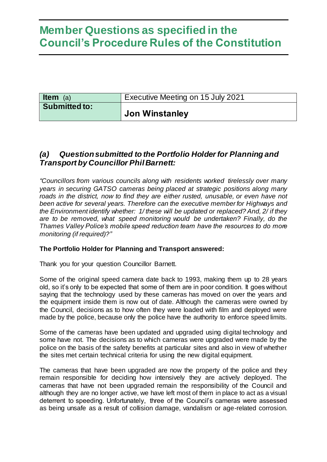| <b>Item</b> (a)      | Executive Meeting on 15 July 2021 |
|----------------------|-----------------------------------|
| <b>Submitted to:</b> | Jon Winstanley                    |

### *(a) Question submitted to the Portfolio Holder for Planning and Transportby Councillor Phil Barnett:*

*"Councillors from various councils along with residents worked tirelessly over many years in securing GATSO cameras being placed at strategic positions along many roads in the district, now to find they are either rusted, unusable, or even have not been active for several years. Therefore can the executive member for Highways and the Environment identify whether: 1/ these will be updated or replaced? And, 2/ if they are to be removed, what speed monitoring would be undertaken? Finally, do the Thames Valley Police's mobile speed reduction team have the resources to do more monitoring (if required)?"*

### **The Portfolio Holder for Planning and Transport answered:**

Thank you for your question Councillor Barnett.

Some of the original speed camera date back to 1993, making them up to 28 years old, so it's only to be expected that some of them are in poor condition. It goes without saying that the technology used by these cameras has moved on over the years and the equipment inside them is now out of date. Although the cameras were owned by the Council, decisions as to how often they were loaded with film and deployed were made by the police, because only the police have the authority to enforce speed limits.

Some of the cameras have been updated and upgraded using digital technology and some have not. The decisions as to which cameras were upgraded were made by the police on the basis of the safety benefits at particular sites and also in view of whether the sites met certain technical criteria for using the new digital equipment.

The cameras that have been upgraded are now the property of the police and they remain responsible for deciding how intensively they are actively deployed. The cameras that have not been upgraded remain the responsibility of the Council and although they are no longer active, we have left most of them in place to act as a visual deterrent to speeding. Unfortunately, three of the Council's cameras were assessed as being unsafe as a result of collision damage, vandalism or age-related corrosion.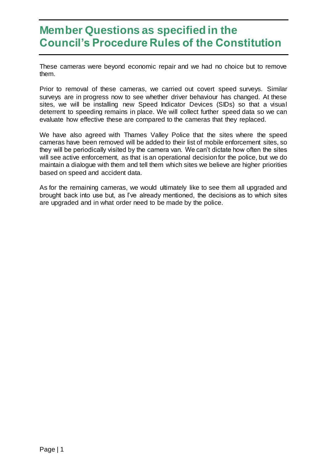These cameras were beyond economic repair and we had no choice but to remove them.

Prior to removal of these cameras, we carried out covert speed surveys. Similar surveys are in progress now to see whether driver behaviour has changed. At these sites, we will be installing new Speed Indicator Devices (SIDs) so that a visual deterrent to speeding remains in place. We will collect further speed data so we can evaluate how effective these are compared to the cameras that they replaced.

We have also agreed with Thames Valley Police that the sites where the speed cameras have been removed will be added to their list of mobile enforcement sites, so they will be periodically visited by the camera van. We can't dictate how often the sites will see active enforcement, as that is an operational decision for the police, but we do maintain a dialogue with them and tell them which sites we believe are higher priorities based on speed and accident data.

As for the remaining cameras, we would ultimately like to see them all upgraded and brought back into use but, as I've already mentioned, the decisions as to which sites are upgraded and in what order need to be made by the police.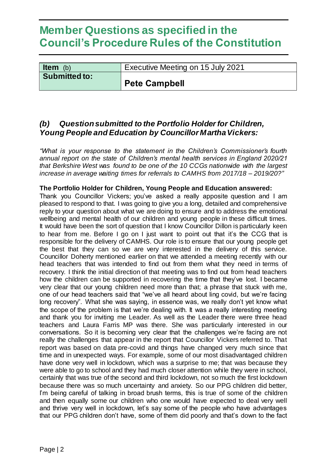| <b>Item</b> $(b)$    | Executive Meeting on 15 July 2021 |
|----------------------|-----------------------------------|
| <b>Submitted to:</b> | Pete Campbell                     |

### *(b) Question submitted to the Portfolio Holder for Children, Young People and Education by Councillor Martha Vickers:*

*"What is your response to the statement in the Children's Commissioner's fourth annual report on the state of Children's mental health services in England 2020/21 that Berkshire West was found to be one of the 10 CCGs nationwide with the largest increase in average waiting times for referrals to CAMHS from 2017/18 – 2019/20?"*

### **The Portfolio Holder for Children, Young People and Education answered:**

Thank you Councillor Vickers; you've asked a really apposite question and I am pleased to respond to that. I was going to give you a long, detailed and comprehensive reply to your question about what we are doing to ensure and to address the emotional wellbeing and mental health of our children and young people in these difficult times. It would have been the sort of question that I know Councillor Dillon is particularly keen to hear from me. Before I go on I just want to point out that it's the CCG that is responsible for the delivery of CAMHS. Our role is to ensure that our young people get the best that they can so we are very interested in the delivery of this service. Councillor Doherty mentioned earlier on that we attended a meeting recently with our head teachers that was intended to find out from them what they need in terms of recovery. I think the initial direction of that meeting was to find out from head teachers how the children can be supported in recovering the time that they've lost. I became very clear that our young children need more than that; a phrase that stuck with me, one of our head teachers said that "we've all heard about ling covid, but we're facing long recovery". What she was saying, in essence was, we really don't yet know what the scope of the problem is that we're dealing with. It was a really interesting meeting and thank you for inviting me Leader. As well as the Leader there were three head teachers and Laura Farris MP was there. She was particularly interested in our conversations. So it is becoming very clear that the challenges we're facing are not really the challenges that appear in the report that Councillor Vickers referred to. That report was based on data pre-covid and things have changed very much since that time and in unexpected ways. For example, some of our most disadvantaged children have done very well in lockdown, which was a surprise to me; that was because they were able to go to school and they had much closer attention while they were in school, certainly that was true of the second and third lockdown, not so much the first lockdown because there was so much uncertainty and anxiety. So our PPG children did better, I'm being careful of talking in broad brush terms, this is true of some of the children and then equally some our children who one would have expected to deal very well and thrive very well in lockdown, let's say some of the people who have advantages that our PPG children don't have, some of them did poorly and that's down to the fact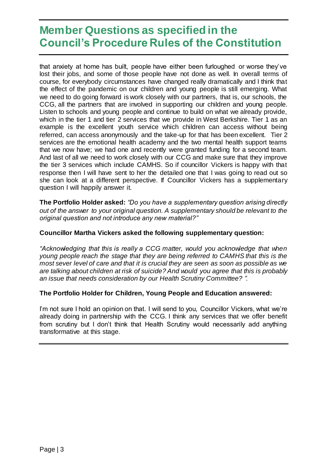that anxiety at home has built, people have either been furloughed or worse they've lost their jobs, and some of those people have not done as well. In overall terms of course, for everybody circumstances have changed really dramatically and I think that the effect of the pandemic on our children and young people is still emerging. What we need to do going forward is work closely with our partners, that is, our schools, the CCG, all the partners that are involved in supporting our children and young people. Listen to schools and young people and continue to build on what we already provide, which in the tier 1 and tier 2 services that we provide in West Berkshire. Tier 1 as an example is the excellent youth service which children can access without being referred, can access anonymously and the take-up for that has been excellent. Tier 2 services are the emotional health academy and the two mental health support teams that we now have; we had one and recently were granted funding for a second team. And last of all we need to work closely with our CCG and make sure that they improve the tier 3 services which include CAMHS. So if councillor Vickers is happy with that response then I will have sent to her the detailed one that I was going to read out so she can look at a different perspective. If Councillor Vickers has a supplementary question I will happily answer it.

**The Portfolio Holder asked:** *"Do you have a supplementary question arising directly out of the answer to your original question. A supplementary should be relevant to the original question and not introduce any new material?"*

### **Councillor Martha Vickers asked the following supplementary question:**

*"Acknowledging that this is really a CCG matter, would you acknowledge that when young people reach the stage that they are being referred to CAMHS that this is the most sever level of care and that it is crucial they are seen as soon as possible as we are talking about children at risk of suicide? And would you agree that this is probably an issue that needs consideration by our Health Scrutiny Committee? ".*

### **The Portfolio Holder for Children, Young People and Education answered:**

I'm not sure I hold an opinion on that. I will send to you, Councillor Vickers, what we're already doing in partnership with the CCG. I think any services that we offer benefit from scrutiny but I don't think that Health Scrutiny would necessarily add anything transformative at this stage.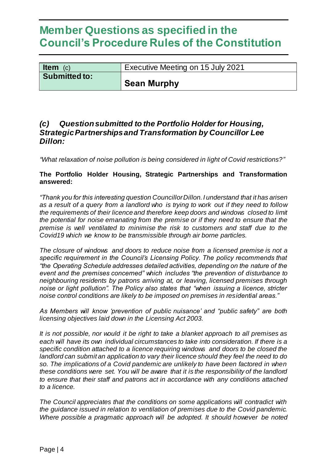| <b>Item</b> $(c)$    | Executive Meeting on 15 July 2021 |
|----------------------|-----------------------------------|
| <b>Submitted to:</b> | Sean Murphy                       |

### *(c) Question submitted to the Portfolio Holder for Housing, Strategic Partnerships and Transformation by Councillor Lee Dillon:*

*"What relaxation of noise pollution is being considered in light of Covid restrictions?"*

### **The Portfolio Holder Housing, Strategic Partnerships and Transformation answered:**

*"Thank you for this interesting question Councillor Dillon.I understand that it has arisen as a result of a query from a landlord who is trying to work out if they need to follow the requirements of their licence and therefore keep doors and windows closed to limit the potential for noise emanating from the premise or if they need to ensure that the premise is well ventilated to minimise the risk to customers and staff due to the Covid19 which we know to be transmissible through air borne particles.*

*The closure of windows and doors to reduce noise from a licensed premise is not a specific requirement in the Council's Licensing Policy. The policy recommends that "the Operating Schedule addresses detailed activities, depending on the nature of the event and the premises concerned" which includes "the prevention of disturbance to neighbouring residents by patrons arriving at, or leaving, licensed premises through noise or light pollution". The Policy also states that "when issuing a licence, stricter noise control conditions are likely to be imposed on premises in residential areas."*

*As Members will know 'prevention of public nuisance' and "public safety" are both licensing objectives laid down in the Licensing Act 2003.*

*It is not possible, nor would it be right to take a blanket approach to all premises as each will have its own individual circumstances to take into consideration. If there is a specific condition attached to a licence requiring windows and doors to be closed the landlord can submit an application to vary their licence should they feel the need to do so. The implications of a Covid pandemic are unlikely to have been factored in when these conditions were set. You will be aware that it is the responsibility of the landlord to ensure that their staff and patrons act in accordance with any conditions attached to a licence.*

*The Council appreciates that the conditions on some applications will contradict with the guidance issued in relation to ventilation of premises due to the Covid pandemic. Where possible a pragmatic approach will be adopted. It should however be noted*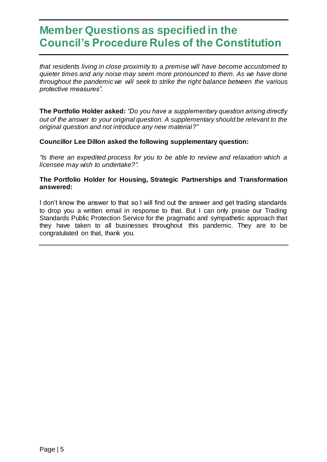*that residents living in close proximity to a premise will have become accustomed to quieter times and any noise may seem more pronounced to them. As we have done throughout the pandemic we will seek to strike the right balance between the various protective measures".* 

**The Portfolio Holder asked:** *"Do you have a supplementary question arising directly out of the answer to your original question. A supplementary should be relevant to the original question and not introduce any new material?"*

#### **Councillor Lee Dillon asked the following supplementary question:**

*"Is there an expedited process for you to be able to review and relaxation which a licensee may wish to undertake?".*

#### **The Portfolio Holder for Housing, Strategic Partnerships and Transformation answered:**

I don't know the answer to that so I will find out the answer and get trading standards to drop you a written email in response to that. But I can only praise our Trading Standards Public Protection Service for the pragmatic and sympathetic approach that they have taken to all businesses throughout this pandemic. They are to be congratulated on that, thank you.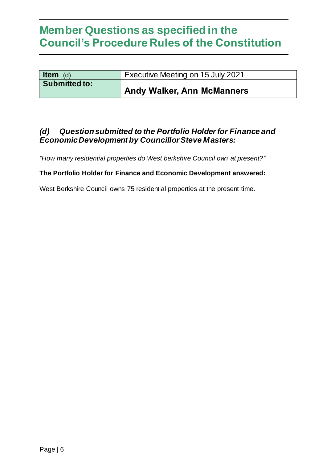| <b>Item</b> (d)      | Executive Meeting on 15 July 2021 |
|----------------------|-----------------------------------|
| <b>Submitted to:</b> | <b>Andy Walker, Ann McManners</b> |

### *(d) Question submitted to the Portfolio Holder for Finance and Economic Development by Councillor Steve Masters:*

*"How many residential properties do West berkshire Council own at present?"*

#### **The Portfolio Holder for Finance and Economic Development answered:**

West Berkshire Council owns 75 residential properties at the present time.